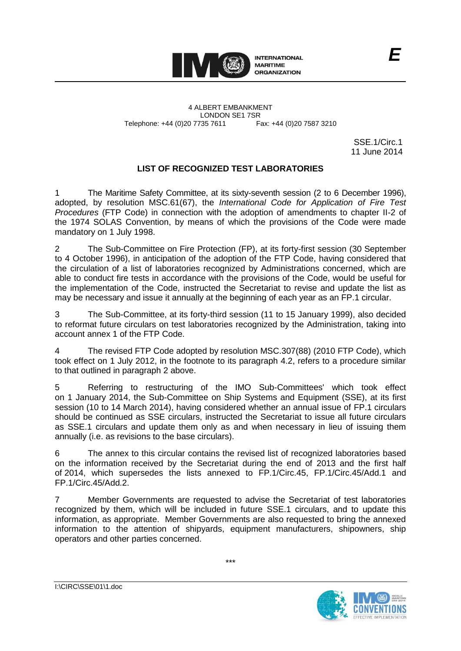

4 ALBERT EMBANKMENT Telephone: +44 (0)20 7735 7611

LONDON SE1 7SR<br>735 7611 Fax: +44 (0)20 7587 3210

SSE.1/Circ.1 11 June 2014

*E*

## **LIST OF RECOGNIZED TEST LABORATORIES**

1 The Maritime Safety Committee, at its sixty-seventh session (2 to 6 December 1996), adopted, by resolution MSC.61(67), the *International Code for Application of Fire Test Procedures* (FTP Code) in connection with the adoption of amendments to chapter II-2 of the 1974 SOLAS Convention, by means of which the provisions of the Code were made mandatory on 1 July 1998.

2 The Sub-Committee on Fire Protection (FP), at its forty-first session (30 September to 4 October 1996), in anticipation of the adoption of the FTP Code, having considered that the circulation of a list of laboratories recognized by Administrations concerned, which are able to conduct fire tests in accordance with the provisions of the Code, would be useful for the implementation of the Code, instructed the Secretariat to revise and update the list as may be necessary and issue it annually at the beginning of each year as an FP.1 circular.

3 The Sub-Committee, at its forty-third session (11 to 15 January 1999), also decided to reformat future circulars on test laboratories recognized by the Administration, taking into account annex 1 of the FTP Code.

4 The revised FTP Code adopted by resolution MSC.307(88) (2010 FTP Code), which took effect on 1 July 2012, in the footnote to its paragraph 4.2, refers to a procedure similar to that outlined in paragraph 2 above.

5 Referring to restructuring of the IMO Sub-Committees' which took effect on 1 January 2014, the Sub-Committee on Ship Systems and Equipment (SSE), at its first session (10 to 14 March 2014), having considered whether an annual issue of FP.1 circulars should be continued as SSE circulars, instructed the Secretariat to issue all future circulars as SSE.1 circulars and update them only as and when necessary in lieu of issuing them annually (i.e. as revisions to the base circulars).

6 The annex to this circular contains the revised list of recognized laboratories based on the information received by the Secretariat during the end of 2013 and the first half of 2014, which supersedes the lists annexed to FP.1/Circ.45, FP.1/Circ.45/Add.1 and FP.1/Circ.45/Add.2.

7 Member Governments are requested to advise the Secretariat of test laboratories recognized by them, which will be included in future SSE.1 circulars, and to update this information, as appropriate. Member Governments are also requested to bring the annexed information to the attention of shipyards, equipment manufacturers, shipowners, ship operators and other parties concerned.



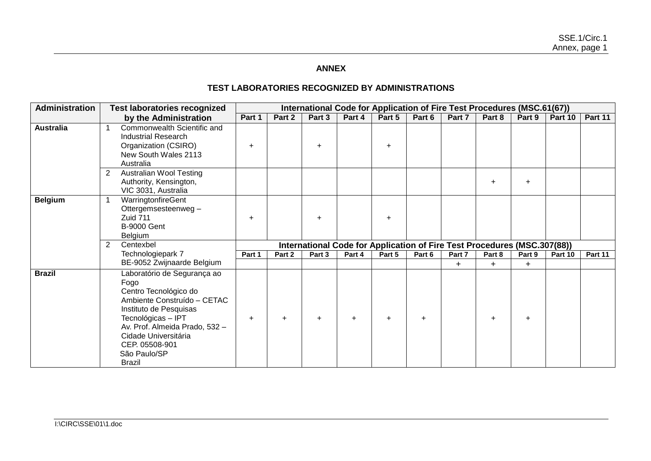## **ANNEX**

## **TEST LABORATORIES RECOGNIZED BY ADMINISTRATIONS**

| Administration   | <b>Test laboratories recognized</b>                                                                                                                                                                                                                      |           |           | International Code for Application of Fire Test Procedures (MSC.61(67))  |        |        |        |           |        |            |         |         |
|------------------|----------------------------------------------------------------------------------------------------------------------------------------------------------------------------------------------------------------------------------------------------------|-----------|-----------|--------------------------------------------------------------------------|--------|--------|--------|-----------|--------|------------|---------|---------|
|                  | by the Administration                                                                                                                                                                                                                                    | Part 1    | Part 2    | Part 3                                                                   | Part 4 | Part 5 | Part 6 | Part 7    | Part 8 | Part 9     | Part 10 | Part 11 |
| <b>Australia</b> | Commonwealth Scientific and<br><b>Industrial Research</b><br>Organization (CSIRO)<br>New South Wales 2113<br>Australia                                                                                                                                   | $\ddot{}$ |           | $+$                                                                      |        |        |        |           |        |            |         |         |
|                  | <b>Australian Wool Testing</b><br>$\overline{2}$<br>Authority, Kensington,<br>VIC 3031, Australia                                                                                                                                                        |           |           |                                                                          |        |        |        |           | ÷      | $\ddot{}$  |         |         |
| <b>Belgium</b>   | WarringtonfireGent<br>Ottergemsesteenweg -<br>Zuid 711<br><b>B-9000 Gent</b><br>Belgium                                                                                                                                                                  | $\ddot{}$ |           | $+$                                                                      |        |        |        |           |        |            |         |         |
|                  | Centexbel<br>$\overline{2}$                                                                                                                                                                                                                              |           |           | International Code for Application of Fire Test Procedures (MSC.307(88)) |        |        |        |           |        |            |         |         |
|                  | Technologiepark 7                                                                                                                                                                                                                                        | Part 1    | Part 2    | Part 3                                                                   | Part 4 | Part 5 | Part 6 | Part 7    | Part 8 | Part 9     | Part 10 | Part 11 |
|                  | BE-9052 Zwijnaarde Belgium                                                                                                                                                                                                                               |           |           |                                                                          |        |        |        | $\ddot{}$ | $\pm$  | $\ddagger$ |         |         |
| <b>Brazil</b>    | Laboratório de Segurança ao<br>Fogo<br>Centro Tecnológico do<br>Ambiente Construído - CETAC<br>Instituto de Pesquisas<br>Tecnológicas - IPT<br>Av. Prof. Almeida Prado, 532 -<br>Cidade Universitária<br>CEP. 05508-901<br>São Paulo/SP<br><b>Brazil</b> | $\ddot{}$ | $\ddot{}$ |                                                                          | $+$    |        |        |           |        | $\ddot{}$  |         |         |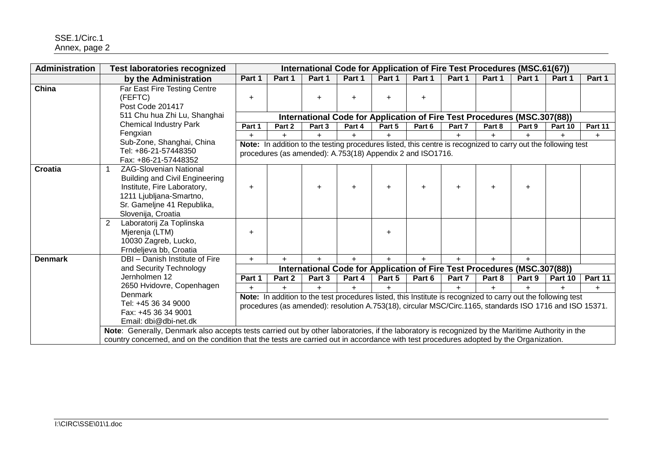| Administration | <b>Test laboratories recognized</b>                                                                                                                                                                                                                                                       |           |        |           |           | International Code for Application of Fire Test Procedures (MSC.61(67))                                                                                                                                                   |           |        |        |           |         |         |
|----------------|-------------------------------------------------------------------------------------------------------------------------------------------------------------------------------------------------------------------------------------------------------------------------------------------|-----------|--------|-----------|-----------|---------------------------------------------------------------------------------------------------------------------------------------------------------------------------------------------------------------------------|-----------|--------|--------|-----------|---------|---------|
|                | by the Administration                                                                                                                                                                                                                                                                     | Part 1    | Part 1 | Part 1    | Part 1    | Part 1                                                                                                                                                                                                                    | Part 1    | Part 1 | Part 1 | Part 1    | Part 1  | Part 1  |
| China          | Far East Fire Testing Centre<br>(FEFTC)<br>Post Code 201417                                                                                                                                                                                                                               | $\ddot{}$ |        | $\ddot{}$ | ÷         | $\pm$                                                                                                                                                                                                                     | $+$       |        |        |           |         |         |
|                | 511 Chu hua Zhi Lu, Shanghai                                                                                                                                                                                                                                                              |           |        |           |           | International Code for Application of Fire Test Procedures (MSC.307(88))                                                                                                                                                  |           |        |        |           |         |         |
|                | <b>Chemical Industry Park</b>                                                                                                                                                                                                                                                             | Part 1    | Part 2 | Part 3    | Part 4    | Part 5                                                                                                                                                                                                                    | Part 6    | Part 7 | Part 8 | Part 9    | Part 10 | Part 11 |
|                | Fengxian<br>Sub-Zone, Shanghai, China                                                                                                                                                                                                                                                     | $\ddot{}$ | $+$    |           |           |                                                                                                                                                                                                                           |           |        | $+$    | $\ddot{}$ | $+$     | $+$     |
|                | Tel: +86-21-57448350<br>Fax: +86-21-57448352                                                                                                                                                                                                                                              |           |        |           |           | Note: In addition to the testing procedures listed, this centre is recognized to carry out the following test<br>procedures (as amended): A.753(18) Appendix 2 and ISO1716.                                               |           |        |        |           |         |         |
| <b>Croatia</b> | <b>ZAG-Slovenian National</b><br><b>Building and Civil Engineering</b><br>Institute, Fire Laboratory,<br>1211 Ljubljana-Smartno,<br>Sr. Gameljne 41 Republika,<br>Slovenija, Croatia                                                                                                      | $\ddot{}$ |        |           | $\ddot{}$ | $\ddot{}$                                                                                                                                                                                                                 | $\ddot{}$ | ÷      | ÷      | $\ddot{}$ |         |         |
|                | Laboratorij Za Toplinska<br>$\mathbf{2}^{\circ}$<br>Mjerenja (LTM)<br>10030 Zagreb, Lucko,<br>Frndeljeva bb, Croatia                                                                                                                                                                      | $\ddot{}$ |        |           |           | $\ddot{}$                                                                                                                                                                                                                 |           |        |        |           |         |         |
| <b>Denmark</b> | DBI - Danish Institute of Fire                                                                                                                                                                                                                                                            | $+$       | $+$    | $+$       | $+$       | $+$                                                                                                                                                                                                                       | $+$       | $+$    | $+$    | $+$       |         |         |
|                | and Security Technology                                                                                                                                                                                                                                                                   |           |        |           |           | International Code for Application of Fire Test Procedures (MSC.307(88))                                                                                                                                                  |           |        |        |           |         |         |
|                | Jernholmen 12                                                                                                                                                                                                                                                                             | Part 1    | Part 2 | Part 3    | Part 4    | Part 5                                                                                                                                                                                                                    | Part 6    | Part 7 | Part 8 | Part 9    | Part 10 | Part 11 |
|                | 2650 Hvidovre, Copenhagen                                                                                                                                                                                                                                                                 | $+$       | $+$    | $+$       | $+$       |                                                                                                                                                                                                                           |           | $+$    | $+$    | $+$       |         | $+$     |
|                | Denmark<br>Tel: +45 36 34 9000<br>Fax: +45 36 34 9001<br>Email: dbi@dbi-net.dk                                                                                                                                                                                                            |           |        |           |           | Note: In addition to the test procedures listed, this Institute is recognized to carry out the following test<br>procedures (as amended): resolution A.753(18), circular MSC/Circ.1165, standards ISO 1716 and ISO 15371. |           |        |        |           |         |         |
|                | Note: Generally, Denmark also accepts tests carried out by other laboratories, if the laboratory is recognized by the Maritime Authority in the<br>country concerned, and on the condition that the tests are carried out in accordance with test procedures adopted by the Organization. |           |        |           |           |                                                                                                                                                                                                                           |           |        |        |           |         |         |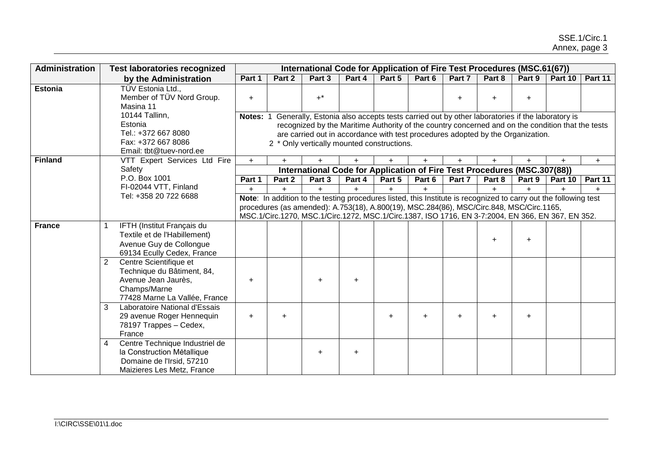| <b>Administration</b> | <b>Test laboratories recognized</b>                                                                                                                                                                     |          |           | International Code for Application of Fire Test Procedures (MSC.61(67))                                                                                                                                                                                                                                                            |           |        |           |        |           |           |           |         |
|-----------------------|---------------------------------------------------------------------------------------------------------------------------------------------------------------------------------------------------------|----------|-----------|------------------------------------------------------------------------------------------------------------------------------------------------------------------------------------------------------------------------------------------------------------------------------------------------------------------------------------|-----------|--------|-----------|--------|-----------|-----------|-----------|---------|
|                       | by the Administration                                                                                                                                                                                   | Part 1   | Part 2    | Part 3                                                                                                                                                                                                                                                                                                                             | Part 4    | Part 5 | Part 6    | Part 7 | Part 8    | Part 9    | Part 10   | Part 11 |
| <b>Estonia</b>        | TÜV Estonia Ltd.,<br>Member of TÜV Nord Group.<br>Masina 11                                                                                                                                             | $+$      |           | $+^*$                                                                                                                                                                                                                                                                                                                              |           |        |           | ÷      |           | $+$       |           |         |
|                       | 10144 Tallinn,<br>Estonia<br>Tel.: +372 667 8080<br>Fax: +372 667 8086<br>Email: tbt@tuev-nord.ee                                                                                                       | Notes: 1 |           | Generally, Estonia also accepts tests carried out by other laboratories if the laboratory is<br>recognized by the Maritime Authority of the country concerned and on the condition that the tests<br>are carried out in accordance with test procedures adopted by the Organization.<br>2 * Only vertically mounted constructions. |           |        |           |        |           |           |           |         |
| <b>Finland</b>        | VTT Expert Services Ltd Fire                                                                                                                                                                            | $+$      | $+$       | $+$                                                                                                                                                                                                                                                                                                                                |           | $+$    | $+$       |        | $+$       |           | $\ddot{}$ | $+$     |
|                       | Safety                                                                                                                                                                                                  |          |           | International Code for Application of Fire Test Procedures (MSC.307(88))                                                                                                                                                                                                                                                           |           |        |           |        |           |           |           |         |
|                       | P.O. Box 1001                                                                                                                                                                                           | Part 1   | Part 2    | Part 3                                                                                                                                                                                                                                                                                                                             | Part 4    | Part 5 | Part 6    | Part 7 | Part 8    | Part 9    | Part 10   | Part 11 |
|                       | FI-02044 VTT, Finland<br>Tel: +358 20 722 6688                                                                                                                                                          | $+$      | $+$       | $+$                                                                                                                                                                                                                                                                                                                                | $+$       | $+$    | $+$       |        | $+$       | $+$       | $\ddot{}$ | $+$     |
|                       |                                                                                                                                                                                                         |          |           | Note: In addition to the testing procedures listed, this Institute is recognized to carry out the following test<br>procedures (as amended): A.753(18), A.800(19), MSC.284(86), MSC/Circ.848, MSC/Circ.1165,<br>MSC.1/Circ.1270, MSC.1/Circ.1272, MSC.1/Circ.1387, ISO 1716, EN 3-7:2004, EN 366, EN 367, EN 352.                  |           |        |           |        |           |           |           |         |
| <b>France</b>         | IFTH (Institut Français du<br>Textile et de l'Habillement)<br>Avenue Guy de Collongue<br>69134 Ecully Cedex, France<br>2<br>Centre Scientifique et<br>Technique du Bâtiment, 84,<br>Avenue Jean Jaurès, | $\pm$    |           |                                                                                                                                                                                                                                                                                                                                    | $\ddot{}$ |        |           |        | $\ddot{}$ | $\ddot{}$ |           |         |
|                       | Champs/Marne<br>77428 Marne La Vallée, France                                                                                                                                                           |          |           |                                                                                                                                                                                                                                                                                                                                    |           |        |           |        |           |           |           |         |
|                       | 3<br>Laboratoire National d'Essais<br>29 avenue Roger Hennequin<br>78197 Trappes - Cedex,<br>France                                                                                                     | $+$      | $\ddot{}$ |                                                                                                                                                                                                                                                                                                                                    |           | +      | $\ddot{}$ |        |           | $\ddot{}$ |           |         |
|                       | Centre Technique Industriel de<br>4<br>la Construction Métallique<br>Domaine de l'Irsid, 57210<br>Maizieres Les Metz, France                                                                            |          |           | $\ddot{}$                                                                                                                                                                                                                                                                                                                          | $\ddot{}$ |        |           |        |           |           |           |         |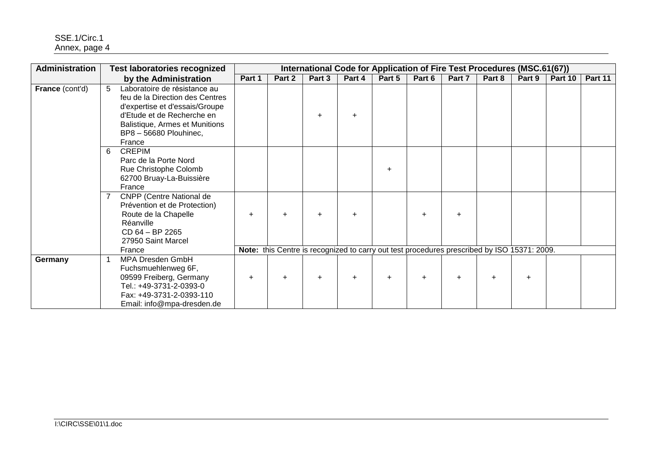| Administration         |   | <b>Test laboratories recognized</b>                                                                                                                                                                   |           |        |        |        |           | International Code for Application of Fire Test Procedures (MSC.61(67))                     |           |        |           |         |         |
|------------------------|---|-------------------------------------------------------------------------------------------------------------------------------------------------------------------------------------------------------|-----------|--------|--------|--------|-----------|---------------------------------------------------------------------------------------------|-----------|--------|-----------|---------|---------|
|                        |   | by the Administration                                                                                                                                                                                 | Part 1    | Part 2 | Part 3 | Part 4 | Part 5    | Part 6                                                                                      | Part 7    | Part 8 | Part 9    | Part 10 | Part 11 |
| <b>France (cont'd)</b> | 5 | Laboratoire de résistance au<br>feu de la Direction des Centres<br>d'expertise et d'essais/Groupe<br>d'Etude et de Recherche en<br>Balistique, Armes et Munitions<br>BP8 - 56680 Plouhinec,<br>France |           |        |        | ÷      |           |                                                                                             |           |        |           |         |         |
|                        | 6 | <b>CREPIM</b><br>Parc de la Porte Nord<br>Rue Christophe Colomb<br>62700 Bruay-La-Buissière<br>France                                                                                                 |           |        |        |        | $\ddot{}$ |                                                                                             |           |        |           |         |         |
|                        |   | <b>CNPP</b> (Centre National de<br>Prévention et de Protection)<br>Route de la Chapelle<br>Réanville<br>CD 64 - BP 2265<br>27950 Saint Marcel                                                         | $\ddot{}$ | $+$    |        | ÷      |           | ÷                                                                                           | $\ddot{}$ |        |           |         |         |
|                        |   | France                                                                                                                                                                                                |           |        |        |        |           | Note: this Centre is recognized to carry out test procedures prescribed by ISO 15371: 2009. |           |        |           |         |         |
| Germany                |   | MPA Dresden GmbH<br>Fuchsmuehlenweg 6F,<br>09599 Freiberg, Germany<br>Tel.: +49-3731-2-0393-0<br>Fax: +49-3731-2-0393-110<br>Email: info@mpa-dresden.de                                               | ÷.        | $+$    | ÷.     | $+$    | $+$       | $\pm$                                                                                       | $\ddot{}$ | ÷      | $\ddot{}$ |         |         |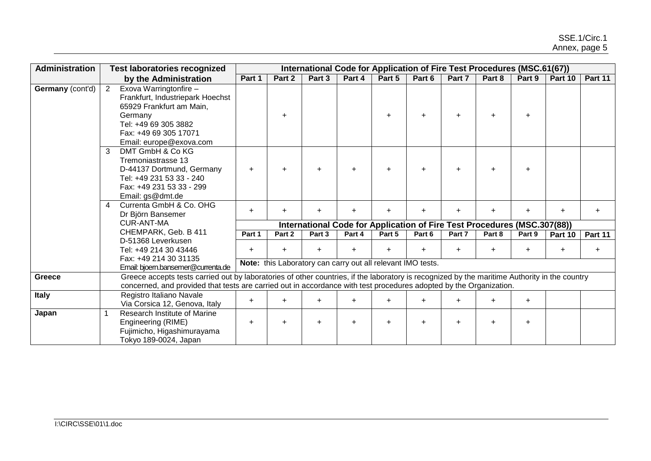| <b>Administration</b> |                | <b>Test laboratories recognized</b>                                                                                                           |           |           |                                                             |           |           | International Code for Application of Fire Test Procedures (MSC.61(67))  |           |           |           |           |           |
|-----------------------|----------------|-----------------------------------------------------------------------------------------------------------------------------------------------|-----------|-----------|-------------------------------------------------------------|-----------|-----------|--------------------------------------------------------------------------|-----------|-----------|-----------|-----------|-----------|
|                       |                | by the Administration                                                                                                                         | Part 1    | Part 2    | Part 3                                                      | Part 4    | Part 5    | Part 6                                                                   | Part 7    | Part 8    | Part 9    | Part 10   | Part 11   |
| Germany (cont'd)      | $2^{\circ}$    | Exova Warringtonfire -                                                                                                                        |           |           |                                                             |           |           |                                                                          |           |           |           |           |           |
|                       |                | Frankfurt, Industriepark Hoechst                                                                                                              |           |           |                                                             |           |           |                                                                          |           |           |           |           |           |
|                       |                | 65929 Frankfurt am Main,                                                                                                                      |           |           |                                                             |           |           |                                                                          |           |           |           |           |           |
|                       |                | Germany                                                                                                                                       |           | $\ddot{}$ |                                                             |           | $+$       | ÷.                                                                       |           | $\ddot{}$ | $+$       |           |           |
|                       |                | Tel: +49 69 305 3882                                                                                                                          |           |           |                                                             |           |           |                                                                          |           |           |           |           |           |
|                       |                | Fax: +49 69 305 17071                                                                                                                         |           |           |                                                             |           |           |                                                                          |           |           |           |           |           |
|                       |                | Email: europe@exova.com                                                                                                                       |           |           |                                                             |           |           |                                                                          |           |           |           |           |           |
|                       | 3              | DMT GmbH & Co KG                                                                                                                              |           |           |                                                             |           |           |                                                                          |           |           |           |           |           |
|                       |                | Tremoniastrasse 13                                                                                                                            |           |           |                                                             |           |           |                                                                          |           |           |           |           |           |
|                       |                | D-44137 Dortmund, Germany                                                                                                                     | $\ddot{}$ | $\ddot{}$ | $\ddot{}$                                                   | $+$       | $\pm$     | $\ddot{}$                                                                | ÷.        | $\div$    | $+$       |           |           |
|                       |                | Tel: +49 231 53 33 - 240                                                                                                                      |           |           |                                                             |           |           |                                                                          |           |           |           |           |           |
|                       |                | Fax: +49 231 53 33 - 299                                                                                                                      |           |           |                                                             |           |           |                                                                          |           |           |           |           |           |
|                       |                | Email: gs@dmt.de                                                                                                                              |           |           |                                                             |           |           |                                                                          |           |           |           |           |           |
|                       | $\overline{4}$ | Currenta GmbH & Co. OHG                                                                                                                       | $+$       | $\ddot{}$ | $\ddot{}$                                                   | $+$       | $+$       | $\ddot{}$                                                                | $\ddot{}$ | $\pm$     | $+$       | $+$       | ÷         |
|                       |                | Dr Björn Bansemer                                                                                                                             |           |           |                                                             |           |           |                                                                          |           |           |           |           |           |
|                       |                | <b>CUR-ANT-MA</b>                                                                                                                             |           |           |                                                             |           |           | International Code for Application of Fire Test Procedures (MSC.307(88)) |           |           |           |           |           |
|                       |                | CHEMPARK, Geb. B 411                                                                                                                          | Part 1    | Part 2    | Part 3                                                      | Part 4    | Part 5    | Part 6                                                                   | Part 7    | Part 8    | Part 9    | Part 10   | Part 11   |
|                       |                | D-51368 Leverkusen<br>Tel: +49 214 30 43446                                                                                                   | $\ddot{}$ |           |                                                             |           |           |                                                                          |           |           |           |           |           |
|                       |                | Fax: +49 214 30 31135                                                                                                                         |           | $\ddot{}$ | $\ddot{}$                                                   | $\ddot{}$ | $+$       | $\ddot{}$                                                                | ÷         | $\pm$     | $+$       | $\ddot{}$ | $\ddot{}$ |
|                       |                | Email: bjoern.bansemer@currenta.de                                                                                                            |           |           | Note: this Laboratory can carry out all relevant IMO tests. |           |           |                                                                          |           |           |           |           |           |
| Greece                |                | Greece accepts tests carried out by laboratories of other countries, if the laboratory is recognized by the maritime Authority in the country |           |           |                                                             |           |           |                                                                          |           |           |           |           |           |
|                       |                | concerned, and provided that tests are carried out in accordance with test procedures adopted by the Organization.                            |           |           |                                                             |           |           |                                                                          |           |           |           |           |           |
| <b>Italy</b>          |                | Registro Italiano Navale                                                                                                                      |           |           |                                                             |           |           |                                                                          |           |           |           |           |           |
|                       |                | Via Corsica 12, Genova, Italy                                                                                                                 | $\ddot{}$ | $\ddot{}$ | $+$                                                         | $\ddot{}$ | $\ddot{}$ | $\ddot{}$                                                                | ÷         | $\ddot{}$ | $\ddot{}$ |           |           |
| Japan                 |                | Research Institute of Marine                                                                                                                  |           |           |                                                             |           |           |                                                                          |           |           |           |           |           |
|                       |                | Engineering (RIME)                                                                                                                            | $\ddot{}$ | $\ddot{}$ |                                                             | $+$       | $\ddot{}$ | ÷.                                                                       |           |           | $\ddot{}$ |           |           |
|                       |                | Fujimicho, Higashimurayama                                                                                                                    |           |           |                                                             |           |           |                                                                          |           |           |           |           |           |
|                       |                | Tokyo 189-0024, Japan                                                                                                                         |           |           |                                                             |           |           |                                                                          |           |           |           |           |           |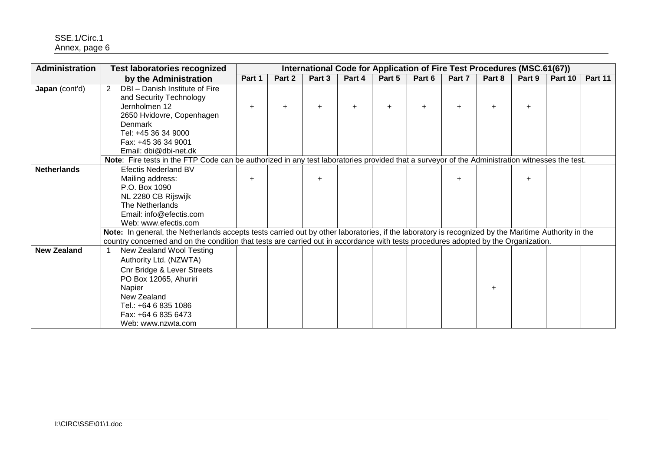| Administration     | <b>Test laboratories recognized</b>                                                                                                                                                            |           | International Code for Application of Fire Test Procedures (MSC.61(67))<br>Part 2<br>Part 5<br>Part 6<br>Part 8<br>Part 10<br>Part 3<br>Part 4<br>Part 7<br>Part 9<br>$+$<br>$+$<br>$\ddot{}$<br>Note: Fire tests in the FTP Code can be authorized in any test laboratories provided that a surveyor of the Administration witnesses the test.<br>$+$<br>Note: In general, the Netherlands accepts tests carried out by other laboratories, if the laboratory is recognized by the Maritime Authority in the<br>country concerned and on the condition that tests are carried out in accordance with tests procedures adopted by the Organization. |  |  |  |  |  |  |  |  |         |  |  |  |
|--------------------|------------------------------------------------------------------------------------------------------------------------------------------------------------------------------------------------|-----------|-----------------------------------------------------------------------------------------------------------------------------------------------------------------------------------------------------------------------------------------------------------------------------------------------------------------------------------------------------------------------------------------------------------------------------------------------------------------------------------------------------------------------------------------------------------------------------------------------------------------------------------------------------|--|--|--|--|--|--|--|--|---------|--|--|--|
|                    | by the Administration                                                                                                                                                                          | Part 1    |                                                                                                                                                                                                                                                                                                                                                                                                                                                                                                                                                                                                                                                     |  |  |  |  |  |  |  |  | Part 11 |  |  |  |
| Japan (cont'd)     | DBI - Danish Institute of Fire<br>2<br>and Security Technology<br>Jernholmen 12<br>2650 Hvidovre, Copenhagen<br>Denmark<br>Tel: +45 36 34 9000<br>Fax: +45 36 34 9001<br>Email: dbi@dbi-net.dk | $\ddot{}$ |                                                                                                                                                                                                                                                                                                                                                                                                                                                                                                                                                                                                                                                     |  |  |  |  |  |  |  |  |         |  |  |  |
|                    |                                                                                                                                                                                                |           |                                                                                                                                                                                                                                                                                                                                                                                                                                                                                                                                                                                                                                                     |  |  |  |  |  |  |  |  |         |  |  |  |
| <b>Netherlands</b> | <b>Efectis Nederland BV</b><br>Mailing address:<br>P.O. Box 1090<br>NL 2280 CB Rijswijk<br>The Netherlands<br>Email: info@efectis.com<br>Web: www.efectis.com                                  | $\ddot{}$ |                                                                                                                                                                                                                                                                                                                                                                                                                                                                                                                                                                                                                                                     |  |  |  |  |  |  |  |  |         |  |  |  |
| <b>New Zealand</b> | New Zealand Wool Testing                                                                                                                                                                       |           |                                                                                                                                                                                                                                                                                                                                                                                                                                                                                                                                                                                                                                                     |  |  |  |  |  |  |  |  |         |  |  |  |
|                    | Authority Ltd. (NZWTA)<br><b>Cnr Bridge &amp; Lever Streets</b><br>PO Box 12065, Ahuriri<br>Napier<br>New Zealand<br>Tel.: +64 6 835 1086<br>Fax: +64 6 835 6473<br>Web: www.nzwta.com         |           |                                                                                                                                                                                                                                                                                                                                                                                                                                                                                                                                                                                                                                                     |  |  |  |  |  |  |  |  |         |  |  |  |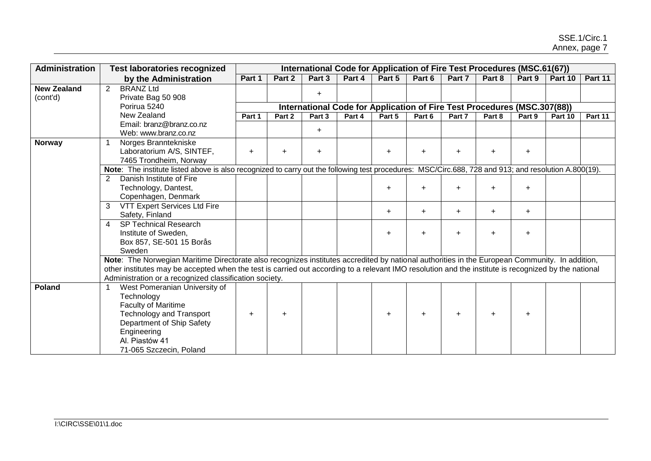| Administration     | <b>Test laboratories recognized</b>                                                                                                                                            |           |           | International Code for Application of Fire Test Procedures (MSC.61(67))  |        |        |           |           |        |           |         |         |
|--------------------|--------------------------------------------------------------------------------------------------------------------------------------------------------------------------------|-----------|-----------|--------------------------------------------------------------------------|--------|--------|-----------|-----------|--------|-----------|---------|---------|
|                    | by the Administration                                                                                                                                                          | Part 1    | Part 2    | Part 3                                                                   | Part 4 | Part 5 | Part 6    | Part 7    | Part 8 | Part 9    | Part 10 | Part 11 |
| <b>New Zealand</b> | <b>BRANZ Ltd</b><br>$\overline{2}$                                                                                                                                             |           |           |                                                                          |        |        |           |           |        |           |         |         |
| (cont'd)           | Private Bag 50 908                                                                                                                                                             |           |           | $+$                                                                      |        |        |           |           |        |           |         |         |
|                    | Porirua 5240                                                                                                                                                                   |           |           | International Code for Application of Fire Test Procedures (MSC.307(88)) |        |        |           |           |        |           |         |         |
|                    | New Zealand                                                                                                                                                                    | Part 1    | Part 2    | Part 3                                                                   | Part 4 | Part 5 | Part 6    | Part 7    | Part 8 | Part 9    | Part 10 | Part 11 |
|                    | Email: branz@branz.co.nz                                                                                                                                                       |           |           | $+$                                                                      |        |        |           |           |        |           |         |         |
|                    | Web: www.branz.co.nz                                                                                                                                                           |           |           |                                                                          |        |        |           |           |        |           |         |         |
| <b>Norway</b>      | Norges Branntekniske                                                                                                                                                           |           |           |                                                                          |        |        |           |           |        |           |         |         |
|                    | Laboratorium A/S, SINTEF,                                                                                                                                                      | $\ddot{}$ | $\ddot{}$ | +                                                                        |        |        |           |           |        | $\ddot{}$ |         |         |
|                    | 7465 Trondheim, Norway<br>Note: The institute listed above is also recognized to carry out the following test procedures: MSC/Circ.688, 728 and 913; and resolution A.800(19). |           |           |                                                                          |        |        |           |           |        |           |         |         |
|                    | Danish Institute of Fire<br>$\overline{2}$                                                                                                                                     |           |           |                                                                          |        |        |           |           |        |           |         |         |
|                    | Technology, Dantest,                                                                                                                                                           |           |           |                                                                          |        | ÷      | ÷         |           |        | $\ddot{}$ |         |         |
|                    | Copenhagen, Denmark                                                                                                                                                            |           |           |                                                                          |        |        |           |           |        |           |         |         |
|                    | VTT Expert Services Ltd Fire<br>3                                                                                                                                              |           |           |                                                                          |        |        |           |           |        |           |         |         |
|                    | Safety, Finland                                                                                                                                                                |           |           |                                                                          |        | $\pm$  | $\ddot{}$ | $\ddot{}$ | $+$    | $\ddot{}$ |         |         |
|                    | <b>SP Technical Research</b><br>$\overline{4}$                                                                                                                                 |           |           |                                                                          |        |        |           |           |        |           |         |         |
|                    | Institute of Sweden,                                                                                                                                                           |           |           |                                                                          |        |        | ÷         |           |        | $\ddot{}$ |         |         |
|                    | Box 857, SE-501 15 Borås                                                                                                                                                       |           |           |                                                                          |        |        |           |           |        |           |         |         |
|                    | Sweden                                                                                                                                                                         |           |           |                                                                          |        |        |           |           |        |           |         |         |
|                    | Note: The Norwegian Maritime Directorate also recognizes institutes accredited by national authorities in the European Community. In addition,                                 |           |           |                                                                          |        |        |           |           |        |           |         |         |
|                    | other institutes may be accepted when the test is carried out according to a relevant IMO resolution and the institute is recognized by the national                           |           |           |                                                                          |        |        |           |           |        |           |         |         |
|                    | Administration or a recognized classification society.                                                                                                                         |           |           |                                                                          |        |        |           |           |        |           |         |         |
| <b>Poland</b>      | West Pomeranian University of                                                                                                                                                  |           |           |                                                                          |        |        |           |           |        |           |         |         |
|                    | Technology                                                                                                                                                                     |           |           |                                                                          |        |        |           |           |        |           |         |         |
|                    | <b>Faculty of Maritime</b>                                                                                                                                                     |           |           |                                                                          |        |        |           |           |        |           |         |         |
|                    | <b>Technology and Transport</b>                                                                                                                                                | $\ddot{}$ | $\ddot{}$ |                                                                          |        | $\pm$  | $\ddot{}$ |           |        | $\ddot{}$ |         |         |
|                    | Department of Ship Safety                                                                                                                                                      |           |           |                                                                          |        |        |           |           |        |           |         |         |
|                    | Engineering                                                                                                                                                                    |           |           |                                                                          |        |        |           |           |        |           |         |         |
|                    | Al. Piastów 41                                                                                                                                                                 |           |           |                                                                          |        |        |           |           |        |           |         |         |
|                    | 71-065 Szczecin, Poland                                                                                                                                                        |           |           |                                                                          |        |        |           |           |        |           |         |         |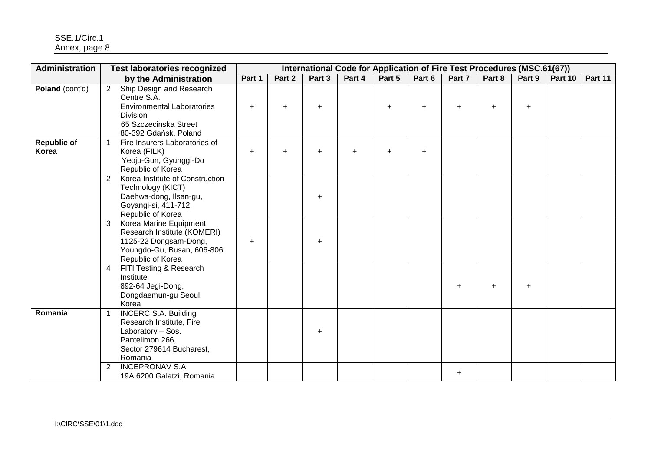| <b>Administration</b>       | <b>Test laboratories recognized</b>                                                                                                                              |           |           |           |           | International Code for Application of Fire Test Procedures (MSC.61(67)) |           |           |           |           |         |         |
|-----------------------------|------------------------------------------------------------------------------------------------------------------------------------------------------------------|-----------|-----------|-----------|-----------|-------------------------------------------------------------------------|-----------|-----------|-----------|-----------|---------|---------|
|                             | by the Administration                                                                                                                                            | Part 1    | Part 2    | Part 3    | Part 4    | Part 5                                                                  | Part 6    | Part 7    | Part 8    | Part 9    | Part 10 | Part 11 |
| Poland (cont'd)             | Ship Design and Research<br>$2^{\circ}$<br>Centre S.A.<br><b>Environmental Laboratories</b><br><b>Division</b><br>65 Szczecinska Street<br>80-392 Gdańsk, Poland | $\ddot{}$ | $\ddot{}$ | $\ddot{}$ |           | $+$                                                                     | $\ddot{}$ | $\ddot{}$ | $\ddot{}$ | $\ddot{}$ |         |         |
| <b>Republic of</b><br>Korea | Fire Insurers Laboratories of<br>Korea (FILK)<br>Yeoju-Gun, Gyunggi-Do<br>Republic of Korea                                                                      | $\ddot{}$ | +         | $\ddot{}$ | $\ddot{}$ | $\ddot{}$                                                               | $\ddot{}$ |           |           |           |         |         |
|                             | Korea Institute of Construction<br>2<br>Technology (KICT)<br>Daehwa-dong, Ilsan-gu,<br>Goyangi-si, 411-712,<br>Republic of Korea                                 |           |           | $\ddot{}$ |           |                                                                         |           |           |           |           |         |         |
|                             | Korea Marine Equipment<br>$\mathbf{3}$<br>Research Institute (KOMERI)<br>1125-22 Dongsam-Dong,<br>Youngdo-Gu, Busan, 606-806<br>Republic of Korea                | $\ddot{}$ |           | ÷.        |           |                                                                         |           |           |           |           |         |         |
|                             | FITI Testing & Research<br>$\overline{4}$<br>Institute<br>892-64 Jegi-Dong,<br>Dongdaemun-gu Seoul,<br>Korea                                                     |           |           |           |           |                                                                         |           | $\ddot{}$ | $\ddot{}$ | $+$       |         |         |
| Romania                     | <b>INCERC S.A. Building</b><br>Research Institute, Fire<br>Laboratory - Sos.<br>Pantelimon 266,<br>Sector 279614 Bucharest,<br>Romania                           |           |           | $+$       |           |                                                                         |           |           |           |           |         |         |
|                             | <b>INCEPRONAV S.A.</b><br>$\overline{2}$<br>19A 6200 Galatzi, Romania                                                                                            |           |           |           |           |                                                                         |           | $\ddot{}$ |           |           |         |         |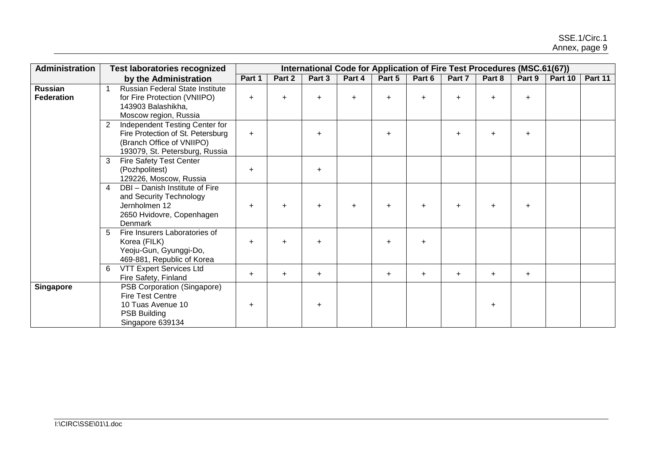| <b>Administration</b>        |                | <b>Test laboratories recognized</b>                                                                                                |           |           |           | International Code for Application of Fire Test Procedures (MSC.61(67)) |           |           |           |           |        |         |         |
|------------------------------|----------------|------------------------------------------------------------------------------------------------------------------------------------|-----------|-----------|-----------|-------------------------------------------------------------------------|-----------|-----------|-----------|-----------|--------|---------|---------|
|                              |                | by the Administration                                                                                                              | Part 1    | Part 2    | Part 3    | Part 4                                                                  | Part 5    | Part 6    | Part 7    | Part 8    | Part 9 | Part 10 | Part 11 |
| Russian<br><b>Federation</b> |                | Russian Federal State Institute<br>for Fire Protection (VNIIPO)<br>143903 Balashikha,<br>Moscow region, Russia                     | $+$       | $\ddot{}$ | $\pm$     | $+$                                                                     |           | $\div$    | $\ddot{}$ | $\ddot{}$ | $\pm$  |         |         |
|                              | $2^{\circ}$    | Independent Testing Center for<br>Fire Protection of St. Petersburg<br>(Branch Office of VNIIPO)<br>193079, St. Petersburg, Russia | $+$       |           | $\ddot{}$ |                                                                         | $+$       |           | ÷.        | $\ddot{}$ | $+$    |         |         |
|                              | $\mathbf{3}$   | <b>Fire Safety Test Center</b><br>(Pozhpolitest)<br>129226, Moscow, Russia                                                         | $\ddot{}$ |           | $+$       |                                                                         |           |           |           |           |        |         |         |
|                              | $\overline{4}$ | DBI - Danish Institute of Fire<br>and Security Technology<br>Jernholmen 12<br>2650 Hvidovre, Copenhagen<br>Denmark                 | $\ddot{}$ | $\ddot{}$ | $\ddot{}$ | $+$                                                                     | $+$       | $\ddot{}$ |           | $\ddot{}$ | $\pm$  |         |         |
|                              | 5              | Fire Insurers Laboratories of<br>Korea (FILK)<br>Yeoju-Gun, Gyunggi-Do,<br>469-881, Republic of Korea                              | $\ddot{}$ | $\ddot{}$ | $+$       |                                                                         | $+$       | $\ddot{}$ |           |           |        |         |         |
|                              | 6              | VTT Expert Services Ltd<br>Fire Safety, Finland                                                                                    | $\ddot{}$ | $\ddot{}$ | $+$       |                                                                         | $\ddot{}$ | $\ddot{}$ | $\ddot{}$ | $+$       | $+$    |         |         |
| <b>Singapore</b>             |                | PSB Corporation (Singapore)<br><b>Fire Test Centre</b><br>10 Tuas Avenue 10<br>PSB Building<br>Singapore 639134                    | $\pm$     |           | $\pm$     |                                                                         |           |           |           | $\ddot{}$ |        |         |         |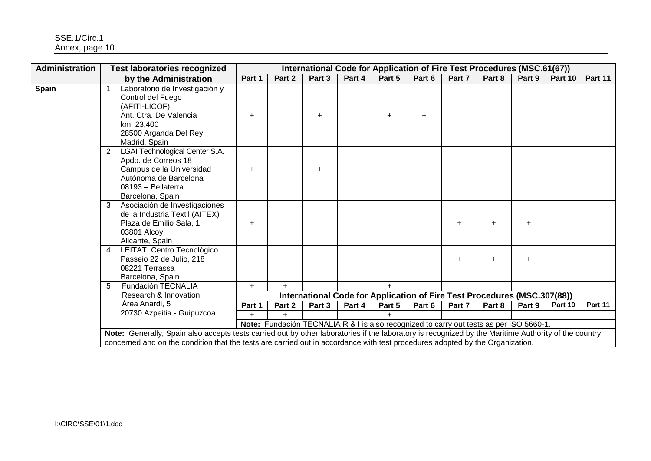| Administration | <b>Test laboratories recognized</b>                                                                                                                                                                                                                                                   |        | International Code for Application of Fire Test Procedures (MSC.61(67))<br>Part 5<br>Part 6<br>Part 10<br>Part 2<br>Part 3<br>Part 4<br>Part 7<br>Part 8<br>Part 9<br>Part 11<br>$\ddot{}$<br>$\ddot{}$<br>$\ddot{}$<br>$\pm$ |        |        |        |                                                                                         |           |           |           |         |         |  |  |  |
|----------------|---------------------------------------------------------------------------------------------------------------------------------------------------------------------------------------------------------------------------------------------------------------------------------------|--------|-------------------------------------------------------------------------------------------------------------------------------------------------------------------------------------------------------------------------------|--------|--------|--------|-----------------------------------------------------------------------------------------|-----------|-----------|-----------|---------|---------|--|--|--|
|                | by the Administration                                                                                                                                                                                                                                                                 | Part 1 |                                                                                                                                                                                                                               |        |        |        |                                                                                         |           |           |           |         |         |  |  |  |
| <b>Spain</b>   | Laboratorio de Investigación y<br>Control del Fuego<br>(AFITI-LICOF)<br>Ant. Ctra. De Valencia<br>km. 23,400<br>28500 Arganda Del Rey,<br>Madrid, Spain                                                                                                                               |        |                                                                                                                                                                                                                               |        |        |        |                                                                                         |           |           |           |         |         |  |  |  |
|                | <b>LGAI Technological Center S.A.</b><br>2<br>Apdo. de Correos 18<br>Campus de la Universidad<br>Autónoma de Barcelona<br>08193 - Bellaterra<br>Barcelona, Spain                                                                                                                      |        |                                                                                                                                                                                                                               |        |        |        |                                                                                         |           |           |           |         |         |  |  |  |
|                | Asociación de Investigaciones<br>3<br>de la Industria Textil (AITEX)<br>Plaza de Emilio Sala, 1<br>03801 Alcoy<br>Alicante, Spain                                                                                                                                                     | ÷.     |                                                                                                                                                                                                                               |        |        |        |                                                                                         | $\ddot{}$ | $\ddot{}$ | $\ddot{}$ |         |         |  |  |  |
|                | LEITAT, Centro Tecnológico<br>4<br>Passeio 22 de Julio, 218<br>08221 Terrassa<br>Barcelona, Spain                                                                                                                                                                                     |        |                                                                                                                                                                                                                               |        |        |        |                                                                                         | $\ddot{}$ |           | $\ddot{}$ |         |         |  |  |  |
|                | Fundación TECNALIA<br>5                                                                                                                                                                                                                                                               | $+$    | $+$                                                                                                                                                                                                                           |        |        |        |                                                                                         |           |           |           |         |         |  |  |  |
|                | Research & Innovation                                                                                                                                                                                                                                                                 |        |                                                                                                                                                                                                                               |        |        |        | International Code for Application of Fire Test Procedures (MSC.307(88))                |           |           |           |         |         |  |  |  |
|                | Área Anardi, 5<br>20730 Azpeitia - Guipúzcoa                                                                                                                                                                                                                                          | Part 1 | Part 2                                                                                                                                                                                                                        | Part 3 | Part 4 | Part 5 | Part 6                                                                                  | Part 7    | Part 8    | Part 9    | Part 10 | Part 11 |  |  |  |
|                |                                                                                                                                                                                                                                                                                       | $+$    | $+$                                                                                                                                                                                                                           |        |        | $+$    |                                                                                         |           |           |           |         |         |  |  |  |
|                |                                                                                                                                                                                                                                                                                       |        |                                                                                                                                                                                                                               |        |        |        | Note: Fundación TECNALIA R & I is also recognized to carry out tests as per ISO 5660-1. |           |           |           |         |         |  |  |  |
|                | Note: Generally, Spain also accepts tests carried out by other laboratories if the laboratory is recognized by the Maritime Authority of the country<br>concerned and on the condition that the tests are carried out in accordance with test procedures adopted by the Organization. |        |                                                                                                                                                                                                                               |        |        |        |                                                                                         |           |           |           |         |         |  |  |  |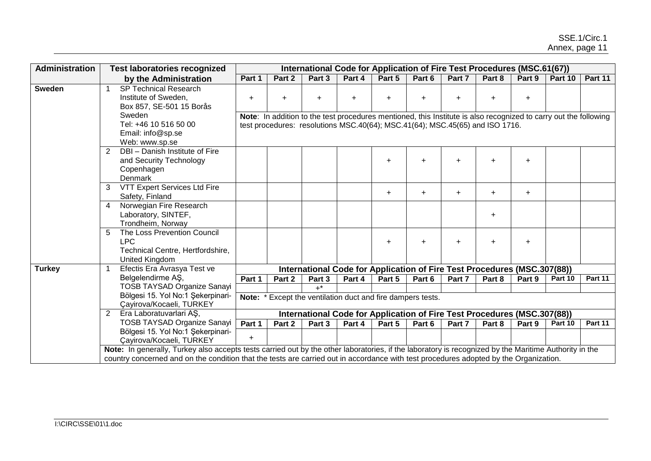| Administration |                       | <b>Test laboratories recognized</b>                                                                                                                                                                                                                                                            |           |           |        |        | International Code for Application of Fire Test Procedures (MSC.61(67))                                                                                                                           |           |           |           |           |         |         |
|----------------|-----------------------|------------------------------------------------------------------------------------------------------------------------------------------------------------------------------------------------------------------------------------------------------------------------------------------------|-----------|-----------|--------|--------|---------------------------------------------------------------------------------------------------------------------------------------------------------------------------------------------------|-----------|-----------|-----------|-----------|---------|---------|
|                |                       | by the Administration                                                                                                                                                                                                                                                                          | Part 1    | Part 2    | Part 3 | Part 4 | Part 5                                                                                                                                                                                            | Part 6    | Part 7    | Part 8    | Part 9    | Part 10 | Part 11 |
| <b>Sweden</b>  |                       | <b>SP Technical Research</b><br>Institute of Sweden,<br>Box 857, SE-501 15 Borås<br>Sweden<br>Tel: +46 10 516 50 00<br>Email: info@sp.se<br>Web: www.sp.se                                                                                                                                     | $+$       | $\ddot{}$ | ÷.     | ÷.     | Note: In addition to the test procedures mentioned, this Institute is also recognized to carry out the following<br>test procedures: resolutions MSC.40(64); MSC.41(64); MSC.45(65) and ISO 1716. |           |           |           | $+$       |         |         |
|                | $\mathbf{2}^{\prime}$ | DBI - Danish Institute of Fire<br>and Security Technology<br>Copenhagen<br>Denmark                                                                                                                                                                                                             |           |           |        |        | $+$                                                                                                                                                                                               | $\ddot{}$ | $\ddot{}$ | $\ddot{}$ | $\ddot{}$ |         |         |
|                | 3                     | VTT Expert Services Ltd Fire<br>Safety, Finland                                                                                                                                                                                                                                                |           |           |        |        | $\pm$                                                                                                                                                                                             | $\ddot{}$ | $\ddot{}$ | $\ddot{}$ | $\ddot{}$ |         |         |
|                | $\overline{4}$        | Norwegian Fire Research<br>Laboratory, SINTEF,<br>Trondheim, Norway                                                                                                                                                                                                                            |           |           |        |        |                                                                                                                                                                                                   |           |           | $\ddot{}$ |           |         |         |
|                | 5                     | The Loss Prevention Council<br><b>LPC</b><br>Technical Centre, Hertfordshire,<br>United Kingdom                                                                                                                                                                                                |           |           |        |        | $+$                                                                                                                                                                                               | $\ddot{}$ |           | $\ddot{}$ | $+$       |         |         |
| <b>Turkey</b>  |                       | Efectis Era Avrasya Test ve                                                                                                                                                                                                                                                                    |           |           |        |        | International Code for Application of Fire Test Procedures (MSC.307(88))                                                                                                                          |           |           |           |           |         |         |
|                |                       | Belgelendirme AŞ,                                                                                                                                                                                                                                                                              | Part 1    | Part 2    | Part 3 | Part 4 | Part 5                                                                                                                                                                                            | Part 6    | Part 7    | Part 8    | Part 9    | Part 10 | Part 11 |
|                |                       | <b>TOSB TAYSAD Organize Sanayi</b><br>Bölgesi 15. Yol No:1 Şekerpinari-<br>Çayirova/Kocaeli, TURKEY                                                                                                                                                                                            | Note:     |           | $+^*$  |        | Except the ventilation duct and fire dampers tests.                                                                                                                                               |           |           |           |           |         |         |
|                | $2^{\circ}$           | Era Laboratuvarlari AS,                                                                                                                                                                                                                                                                        |           |           |        |        | International Code for Application of Fire Test Procedures (MSC.307(88))                                                                                                                          |           |           |           |           |         |         |
|                |                       | <b>TOSB TAYSAD Organize Sanayi</b>                                                                                                                                                                                                                                                             | Part 1    | Part 2    | Part 3 | Part 4 | Part 5                                                                                                                                                                                            | Part 6    | Part 7    | Part 8    | Part 9    | Part 10 | Part 11 |
|                |                       | Bölgesi 15. Yol No:1 Şekerpinari-<br>Çayirova/Kocaeli, TURKEY                                                                                                                                                                                                                                  | $\ddot{}$ |           |        |        |                                                                                                                                                                                                   |           |           |           |           |         |         |
|                |                       | Note: In generally, Turkey also accepts tests carried out by the other laboratories, if the laboratory is recognized by the Maritime Authority in the<br>country concerned and on the condition that the tests are carried out in accordance with test procedures adopted by the Organization. |           |           |        |        |                                                                                                                                                                                                   |           |           |           |           |         |         |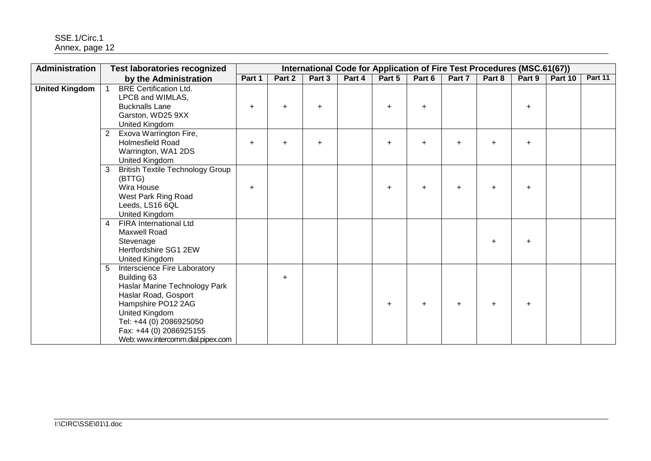SSE.1/Circ.1 Annex, page 12

| Administration        | <b>Test laboratories recognized</b>                                                                                                                                                                                                          |           |           |           | International Code for Application of Fire Test Procedures (MSC.61(67)) |           |           |           |           |           |         |         |
|-----------------------|----------------------------------------------------------------------------------------------------------------------------------------------------------------------------------------------------------------------------------------------|-----------|-----------|-----------|-------------------------------------------------------------------------|-----------|-----------|-----------|-----------|-----------|---------|---------|
|                       | by the Administration                                                                                                                                                                                                                        | Part 1    | Part 2    | Part 3    | Part 4                                                                  | Part 5    | Part 6    | Part 7    | Part 8    | Part 9    | Part 10 | Part 11 |
| <b>United Kingdom</b> | <b>BRE Certification Ltd.</b><br>LPCB and WIMLAS,<br><b>Bucknalls Lane</b><br>Garston, WD25 9XX<br>United Kingdom                                                                                                                            | $\ddot{}$ | $\ddot{}$ | ÷.        |                                                                         | $\ddot{}$ | ÷         |           |           | $\ddot{}$ |         |         |
|                       | Exova Warrington Fire,<br>$\overline{2}$<br><b>Holmesfield Road</b><br>Warrington, WA1 2DS<br>United Kingdom                                                                                                                                 | $+$       | $\ddot{}$ | $\ddot{}$ |                                                                         | $\ddot{}$ | $\ddot{}$ | $\ddot{}$ | $\ddot{}$ | $\ddot{}$ |         |         |
|                       | <b>British Textile Technology Group</b><br>3<br>(BTTG)<br>Wira House<br>West Park Ring Road<br>Leeds, LS16 6QL<br>United Kingdom                                                                                                             | $+$       |           |           |                                                                         |           |           |           |           | $\ddot{}$ |         |         |
|                       | <b>FIRA</b> International Ltd<br>4<br><b>Maxwell Road</b><br>Stevenage<br>Hertfordshire SG1 2EW<br>United Kingdom                                                                                                                            |           |           |           |                                                                         |           |           |           | $\ddot{}$ | $\ddot{}$ |         |         |
|                       | Interscience Fire Laboratory<br>5<br>Building 63<br>Haslar Marine Technology Park<br>Haslar Road, Gosport<br>Hampshire PO12 2AG<br>United Kingdom<br>Tel: +44 (0) 2086925050<br>Fax: +44 (0) 2086925155<br>Web: www.intercomm.dial.pipex.com |           | $+$       |           |                                                                         | $\pm$     | $\div$    | $\ddot{}$ | $\ddot{}$ | $\ddot{}$ |         |         |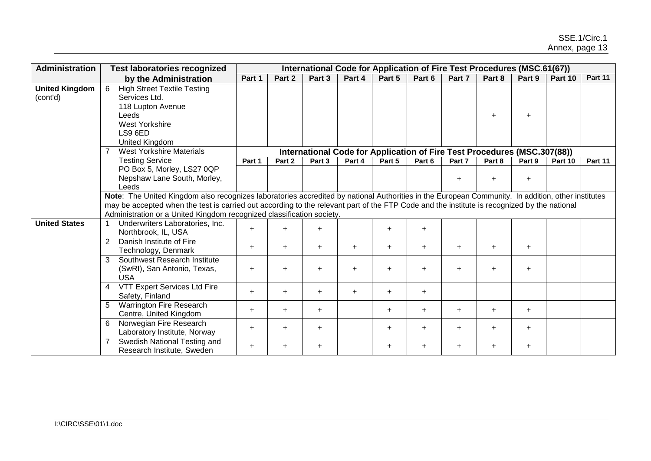| Administration                    | <b>Test laboratories recognized</b>                                                                                                                 | International Code for Application of Fire Test Procedures (MSC.61(67))                                                                                                                                                                                                                                                                                                   |           |           |           |        |           |                                                                          |           |           |         |         |  |  |
|-----------------------------------|-----------------------------------------------------------------------------------------------------------------------------------------------------|---------------------------------------------------------------------------------------------------------------------------------------------------------------------------------------------------------------------------------------------------------------------------------------------------------------------------------------------------------------------------|-----------|-----------|-----------|--------|-----------|--------------------------------------------------------------------------|-----------|-----------|---------|---------|--|--|
|                                   | by the Administration                                                                                                                               | Part 1                                                                                                                                                                                                                                                                                                                                                                    | Part 2    | Part 3    | Part 4    | Part 5 | Part 6    | Part 7                                                                   | Part 8    | Part 9    | Part 10 | Part 11 |  |  |
| <b>United Kingdom</b><br>(cont'd) | 6<br><b>High Street Textile Testing</b><br>Services Ltd.<br>118 Lupton Avenue<br>Leeds<br><b>West Yorkshire</b><br>LS9 6ED<br><b>United Kingdom</b> |                                                                                                                                                                                                                                                                                                                                                                           |           |           |           |        |           |                                                                          | $\ddot{}$ | $\ddot{}$ |         |         |  |  |
|                                   | <b>West Yorkshire Materials</b>                                                                                                                     |                                                                                                                                                                                                                                                                                                                                                                           |           |           |           |        |           | International Code for Application of Fire Test Procedures (MSC.307(88)) |           |           |         |         |  |  |
|                                   | <b>Testing Service</b>                                                                                                                              | Part 1                                                                                                                                                                                                                                                                                                                                                                    | Part 2    | Part 3    | Part 4    | Part 5 | Part 6    | Part 7                                                                   | Part 8    | Part 9    | Part 10 | Part 11 |  |  |
|                                   | PO Box 5, Morley, LS27 0QP<br>Nepshaw Lane South, Morley,<br>Leeds                                                                                  |                                                                                                                                                                                                                                                                                                                                                                           |           |           |           |        |           |                                                                          |           | $\ddot{}$ |         |         |  |  |
|                                   |                                                                                                                                                     | Note: The United Kingdom also recognizes laboratories accredited by national Authorities in the European Community. In addition, other institutes<br>may be accepted when the test is carried out according to the relevant part of the FTP Code and the institute is recognized by the national<br>Administration or a United Kingdom recognized classification society. |           |           |           |        |           |                                                                          |           |           |         |         |  |  |
| <b>United States</b>              | Underwriters Laboratories, Inc.<br>Northbrook, IL, USA                                                                                              | $\ddot{}$                                                                                                                                                                                                                                                                                                                                                                 | $\ddot{}$ | $+$       |           | $+$    | $\ddot{}$ |                                                                          |           |           |         |         |  |  |
|                                   | $\overline{2}$<br>Danish Institute of Fire<br>Technology, Denmark                                                                                   | $\ddot{}$                                                                                                                                                                                                                                                                                                                                                                 | $\ddot{}$ | $+$       | $\ddot{}$ | $+$    | $\ddot{}$ | $\ddot{}$                                                                | $+$       | $\ddot{}$ |         |         |  |  |
|                                   | Southwest Research Institute<br>$\mathbf{3}$<br>(SwRI), San Antonio, Texas,<br><b>USA</b>                                                           | $\ddot{}$                                                                                                                                                                                                                                                                                                                                                                 | $\ddot{}$ | $\ddot{}$ | $+$       | $+$    | $\ddot{}$ | $\ddot{}$                                                                | $\ddot{}$ | $\ddot{}$ |         |         |  |  |
|                                   | VTT Expert Services Ltd Fire<br>$\overline{4}$<br>Safety, Finland                                                                                   | $+$                                                                                                                                                                                                                                                                                                                                                                       | $+$       | $+$       | $+$       | $+$    | $\ddot{}$ |                                                                          |           |           |         |         |  |  |
|                                   | <b>Warrington Fire Research</b><br>5<br>Centre, United Kingdom                                                                                      | $\ddot{}$                                                                                                                                                                                                                                                                                                                                                                 | $\ddot{}$ | $\ddot{}$ |           | $+$    | $\ddot{}$ | $\ddot{}$                                                                | $+$       | $\ddot{}$ |         |         |  |  |
|                                   | 6<br>Norwegian Fire Research<br>Laboratory Institute, Norway                                                                                        | $\ddot{}$                                                                                                                                                                                                                                                                                                                                                                 | $\ddot{}$ | $\ddot{}$ |           | $+$    | $+$       | $+$                                                                      | $+$       | $+$       |         |         |  |  |
|                                   | Swedish National Testing and<br>Research Institute, Sweden                                                                                          | $\ddot{}$                                                                                                                                                                                                                                                                                                                                                                 | $\ddot{}$ | $\ddot{}$ |           | $+$    | $\ddot{}$ | $\ddot{}$                                                                | $+$       | $+$       |         |         |  |  |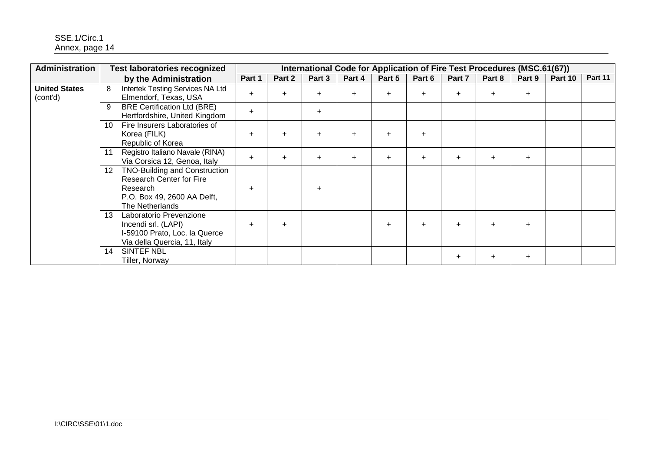| Administration                   | <b>Test laboratories recognized</b> |                                                                                                                         | International Code for Application of Fire Test Procedures (MSC.61(67)) |           |        |           |           |           |        |        |           |         |         |
|----------------------------------|-------------------------------------|-------------------------------------------------------------------------------------------------------------------------|-------------------------------------------------------------------------|-----------|--------|-----------|-----------|-----------|--------|--------|-----------|---------|---------|
|                                  |                                     | by the Administration                                                                                                   | Part 1                                                                  | Part 2    | Part 3 | Part 4    | Part 5    | Part 6    | Part 7 | Part 8 | Part 9    | Part 10 | Part 11 |
| <b>United States</b><br>(cont'd) | 8                                   | Intertek Testing Services NA Ltd<br>Elmendorf, Texas, USA                                                               | $+$                                                                     | $+$       | $+$    | $\ddot{}$ | $+$       | $\pm$     | $\pm$  | $\div$ | $\pm$     |         |         |
|                                  | 9                                   | <b>BRE Certification Ltd (BRE)</b><br>Hertfordshire, United Kingdom                                                     | $+$                                                                     |           | $+$    |           |           |           |        |        |           |         |         |
|                                  | 10                                  | Fire Insurers Laboratories of<br>Korea (FILK)<br>Republic of Korea                                                      | ÷                                                                       | $+$       |        | ÷         | $\pm$     | $+$       |        |        |           |         |         |
|                                  |                                     | Registro Italiano Navale (RINA)<br>Via Corsica 12, Genoa, Italy                                                         | $\ddot{}$                                                               | $\ddot{}$ | $\pm$  | ÷         | $\pm$     | $\ddot{}$ | $\pm$  | $\div$ | $\ddot{}$ |         |         |
|                                  | 12 <sup>12</sup>                    | TNO-Building and Construction<br>Research Center for Fire<br>Research<br>P.O. Box 49, 2600 AA Delft,<br>The Netherlands | $\div$                                                                  |           | $+$    |           |           |           |        |        |           |         |         |
|                                  | 13                                  | Laboratorio Prevenzione<br>Incendi srl. (LAPI)<br>I-59100 Prato, Loc. la Querce<br>Via della Quercia, 11, Italy         | ÷                                                                       | $\ddot{}$ |        |           | $\ddot{}$ | $\pm$     |        |        | $\ddot{}$ |         |         |
|                                  | 14                                  | SINTEF NBL<br>Tiller, Norway                                                                                            |                                                                         |           |        |           |           |           | $\pm$  | ÷      | $\ddot{}$ |         |         |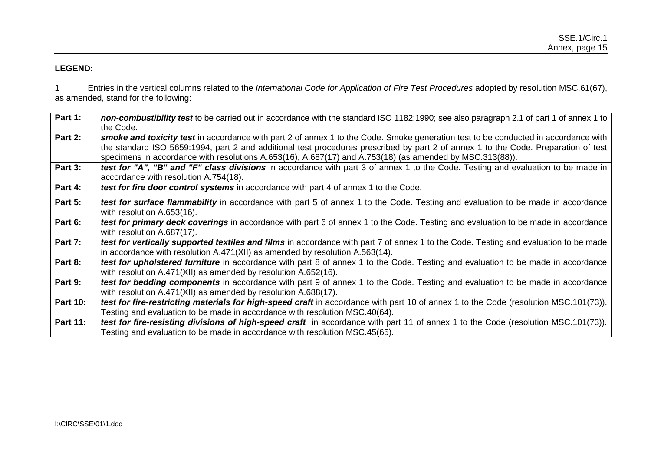## **LEGEND:**

1 Entries in the vertical columns related to the *International Code for Application of Fire Test Procedures* adopted by resolution MSC.61(67), as amended, stand for the following:

| Part 1:         | non-combustibility test to be carried out in accordance with the standard ISO 1182:1990; see also paragraph 2.1 of part 1 of annex 1 to |
|-----------------|-----------------------------------------------------------------------------------------------------------------------------------------|
|                 | the Code.                                                                                                                               |
| Part 2:         | smoke and toxicity test in accordance with part 2 of annex 1 to the Code. Smoke generation test to be conducted in accordance with      |
|                 | the standard ISO 5659:1994, part 2 and additional test procedures prescribed by part 2 of annex 1 to the Code. Preparation of test      |
|                 | specimens in accordance with resolutions A.653(16), A.687(17) and A.753(18) (as amended by MSC.313(88)).                                |
| Part 3:         | test for "A", "B" and "F" class divisions in accordance with part 3 of annex 1 to the Code. Testing and evaluation to be made in        |
|                 | accordance with resolution A.754(18).                                                                                                   |
| Part 4:         | test for fire door control systems in accordance with part 4 of annex 1 to the Code.                                                    |
| Part 5:         | test for surface flammability in accordance with part 5 of annex 1 to the Code. Testing and evaluation to be made in accordance         |
|                 | with resolution A.653(16).                                                                                                              |
| Part 6:         | test for primary deck coverings in accordance with part 6 of annex 1 to the Code. Testing and evaluation to be made in accordance       |
|                 | with resolution A.687(17).                                                                                                              |
| Part 7:         | test for vertically supported textiles and films in accordance with part 7 of annex 1 to the Code. Testing and evaluation to be made    |
|                 | in accordance with resolution $A.471(XII)$ as amended by resolution $A.563(14)$ .                                                       |
| Part 8:         | test for upholstered furniture in accordance with part 8 of annex 1 to the Code. Testing and evaluation to be made in accordance        |
|                 | with resolution A.471(XII) as amended by resolution A.652(16).                                                                          |
| Part 9:         | test for bedding components in accordance with part 9 of annex 1 to the Code. Testing and evaluation to be made in accordance           |
|                 | with resolution A.471(XII) as amended by resolution A.688(17).                                                                          |
| <b>Part 10:</b> | test for fire-restricting materials for high-speed craft in accordance with part 10 of annex 1 to the Code (resolution MSC.101(73)).    |
|                 | Testing and evaluation to be made in accordance with resolution MSC.40(64).                                                             |
| <b>Part 11:</b> | test for fire-resisting divisions of high-speed craft in accordance with part 11 of annex 1 to the Code (resolution MSC.101(73)).       |
|                 | Testing and evaluation to be made in accordance with resolution MSC.45(65).                                                             |